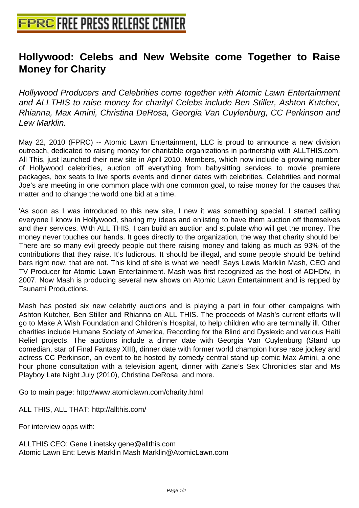## **[Hollywood: Celebs and New Web](http://www.free-press-release-center.info)site come Together to Raise Money for Charity**

Hollywood Producers and Celebrities come together with Atomic Lawn Entertainment and ALLTHIS to raise money for charity! Celebs include Ben Stiller, Ashton Kutcher, Rhianna, Max Amini, Christina DeRosa, Georgia Van Cuylenburg, CC Perkinson and Lew Marklin.

May 22, 2010 (FPRC) -- Atomic Lawn Entertainment, LLC is proud to announce a new division outreach, dedicated to raising money for charitable organizations in partnership with ALLTHIS.com. All This, just launched their new site in April 2010. Members, which now include a growing number of Hollywood celebrities, auction off everything from babysitting services to movie premiere packages, box seats to live sports events and dinner dates with celebrities. Celebrities and normal Joe's are meeting in one common place with one common goal, to raise money for the causes that matter and to change the world one bid at a time.

'As soon as I was introduced to this new site, I new it was something special. I started calling everyone I know in Hollywood, sharing my ideas and enlisting to have them auction off themselves and their services. With ALL THIS, I can build an auction and stipulate who will get the money. The money never touches our hands. It goes directly to the organization, the way that charity should be! There are so many evil greedy people out there raising money and taking as much as 93% of the contributions that they raise. It's ludicrous. It should be illegal, and some people should be behind bars right now, that are not. This kind of site is what we need!' Says Lewis Marklin Mash, CEO and TV Producer for Atomic Lawn Entertainment. Mash was first recognized as the host of ADHDtv, in 2007. Now Mash is producing several new shows on Atomic Lawn Entertainment and is repped by Tsunami Productions.

Mash has posted six new celebrity auctions and is playing a part in four other campaigns with Ashton Kutcher, Ben Stiller and Rhianna on ALL THIS. The proceeds of Mash's current efforts will go to Make A Wish Foundation and Children's Hospital, to help children who are terminally ill. Other charities include Humane Society of America, Recording for the Blind and Dyslexic and various Haiti Relief projects. The auctions include a dinner date with Georgia Van Cuylenburg (Stand up comedian, star of Final Fantasy XIII), dinner date with former world champion horse race jockey and actress CC Perkinson, an event to be hosted by comedy central stand up comic Max Amini, a one hour phone consultation with a television agent, dinner with Zane's Sex Chronicles star and Ms Playboy Late Night July (2010), Christina DeRosa, and more.

Go to main page: http://www.atomiclawn.com/charity.html

ALL THIS, ALL THAT: http://allthis.com/

For interview opps with:

ALLTHIS CEO: Gene Linetsky gene@allthis.com Atomic Lawn Ent: Lewis Marklin Mash Marklin@AtomicLawn.com